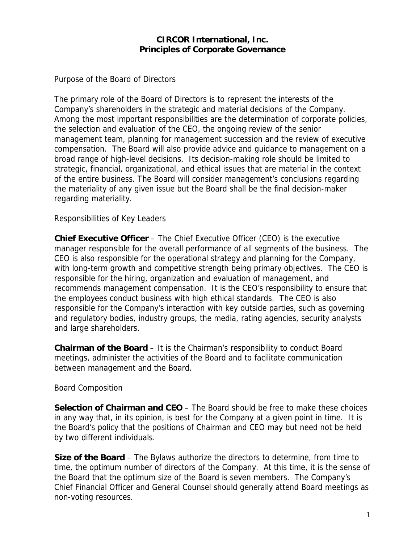## **CIRCOR International, Inc. Principles of Corporate Governance**

Purpose of the Board of Directors

The primary role of the Board of Directors is to represent the interests of the Company's shareholders in the strategic and material decisions of the Company. Among the most important responsibilities are the determination of corporate policies, the selection and evaluation of the CEO, the ongoing review of the senior management team, planning for management succession and the review of executive compensation. The Board will also provide advice and guidance to management on a broad range of high-level decisions. Its decision-making role should be limited to strategic, financial, organizational, and ethical issues that are material in the context of the entire business. The Board will consider management's conclusions regarding the materiality of any given issue but the Board shall be the final decision-maker regarding materiality.

Responsibilities of Key Leaders

**Chief Executive Officer** – The Chief Executive Officer (CEO) is the executive manager responsible for the overall performance of all segments of the business. The CEO is also responsible for the operational strategy and planning for the Company, with long-term growth and competitive strength being primary objectives. The CEO is responsible for the hiring, organization and evaluation of management, and recommends management compensation. It is the CEO's responsibility to ensure that the employees conduct business with high ethical standards. The CEO is also responsible for the Company's interaction with key outside parties, such as governing and regulatory bodies, industry groups, the media, rating agencies, security analysts and large shareholders.

**Chairman of the Board** – It is the Chairman's responsibility to conduct Board meetings, administer the activities of the Board and to facilitate communication between management and the Board.

Board Composition

**Selection of Chairman and CEO** – The Board should be free to make these choices in any way that, in its opinion, is best for the Company at a given point in time. It is the Board's policy that the positions of Chairman and CEO may but need not be held by two different individuals.

**Size of the Board** – The Bylaws authorize the directors to determine, from time to time, the optimum number of directors of the Company. At this time, it is the sense of the Board that the optimum size of the Board is seven members. The Company's Chief Financial Officer and General Counsel should generally attend Board meetings as non-voting resources.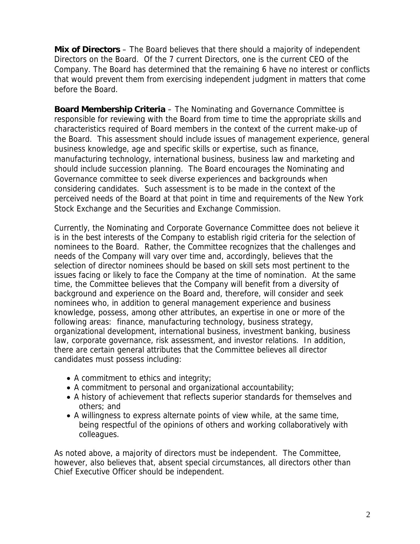**Mix of Directors** – The Board believes that there should a majority of independent Directors on the Board. Of the 7 current Directors, one is the current CEO of the Company. The Board has determined that the remaining 6 have no interest or conflicts that would prevent them from exercising independent judgment in matters that come before the Board.

**Board Membership Criteria** – The Nominating and Governance Committee is responsible for reviewing with the Board from time to time the appropriate skills and characteristics required of Board members in the context of the current make-up of the Board. This assessment should include issues of management experience, general business knowledge, age and specific skills or expertise, such as finance, manufacturing technology, international business, business law and marketing and should include succession planning. The Board encourages the Nominating and Governance committee to seek diverse experiences and backgrounds when considering candidates. Such assessment is to be made in the context of the perceived needs of the Board at that point in time and requirements of the New York Stock Exchange and the Securities and Exchange Commission.

Currently, the Nominating and Corporate Governance Committee does not believe it is in the best interests of the Company to establish rigid criteria for the selection of nominees to the Board. Rather, the Committee recognizes that the challenges and needs of the Company will vary over time and, accordingly, believes that the selection of director nominees should be based on skill sets most pertinent to the issues facing or likely to face the Company at the time of nomination. At the same time, the Committee believes that the Company will benefit from a diversity of background and experience on the Board and, therefore, will consider and seek nominees who, in addition to general management experience and business knowledge, possess, among other attributes, an expertise in one or more of the following areas: finance, manufacturing technology, business strategy, organizational development, international business, investment banking, business law, corporate governance, risk assessment, and investor relations. In addition, there are certain general attributes that the Committee believes all director candidates must possess including:

- A commitment to ethics and integrity;
- A commitment to personal and organizational accountability;
- A history of achievement that reflects superior standards for themselves and others; and
- A willingness to express alternate points of view while, at the same time, being respectful of the opinions of others and working collaboratively with colleagues.

As noted above, a majority of directors must be independent. The Committee, however, also believes that, absent special circumstances, all directors other than Chief Executive Officer should be independent.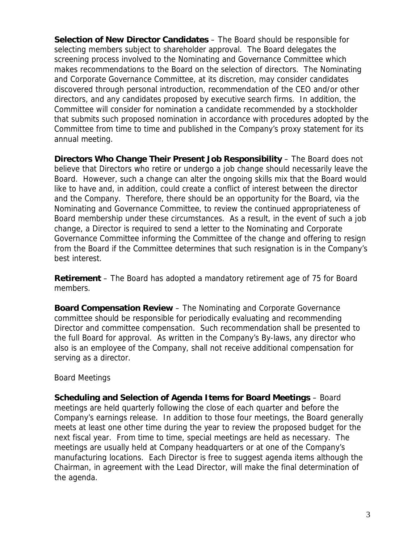**Selection of New Director Candidates** – The Board should be responsible for selecting members subject to shareholder approval. The Board delegates the screening process involved to the Nominating and Governance Committee which makes recommendations to the Board on the selection of directors. The Nominating and Corporate Governance Committee, at its discretion, may consider candidates discovered through personal introduction, recommendation of the CEO and/or other directors, and any candidates proposed by executive search firms. In addition, the Committee will consider for nomination a candidate recommended by a stockholder that submits such proposed nomination in accordance with procedures adopted by the Committee from time to time and published in the Company's proxy statement for its annual meeting.

**Directors Who Change Their Present Job Responsibility** – The Board does not believe that Directors who retire or undergo a job change should necessarily leave the Board. However, such a change can alter the ongoing skills mix that the Board would like to have and, in addition, could create a conflict of interest between the director and the Company. Therefore, there should be an opportunity for the Board, via the Nominating and Governance Committee, to review the continued appropriateness of Board membership under these circumstances. As a result, in the event of such a job change, a Director is required to send a letter to the Nominating and Corporate Governance Committee informing the Committee of the change and offering to resign from the Board if the Committee determines that such resignation is in the Company's best interest.

**Retirement** – The Board has adopted a mandatory retirement age of 75 for Board members.

**Board Compensation Review** – The Nominating and Corporate Governance committee should be responsible for periodically evaluating and recommending Director and committee compensation. Such recommendation shall be presented to the full Board for approval. As written in the Company's By-laws, any director who also is an employee of the Company, shall not receive additional compensation for serving as a director.

## Board Meetings

**Scheduling and Selection of Agenda Items for Board Meetings** – Board meetings are held quarterly following the close of each quarter and before the Company's earnings release. In addition to those four meetings, the Board generally meets at least one other time during the year to review the proposed budget for the next fiscal year. From time to time, special meetings are held as necessary. The meetings are usually held at Company headquarters or at one of the Company's manufacturing locations. Each Director is free to suggest agenda items although the Chairman, in agreement with the Lead Director, will make the final determination of the agenda.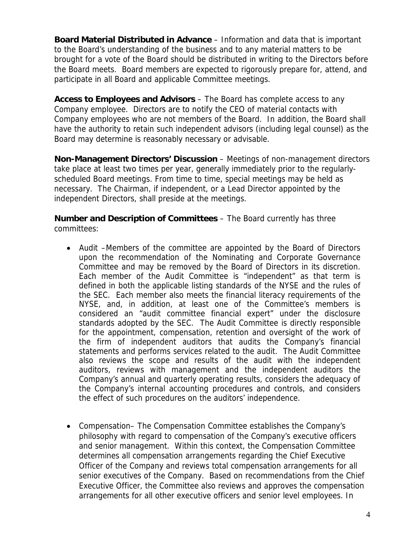**Board Material Distributed in Advance** – Information and data that is important to the Board's understanding of the business and to any material matters to be brought for a vote of the Board should be distributed in writing to the Directors before the Board meets. Board members are expected to rigorously prepare for, attend, and participate in all Board and applicable Committee meetings.

**Access to Employees and Advisors** – The Board has complete access to any Company employee. Directors are to notify the CEO of material contacts with Company employees who are not members of the Board. In addition, the Board shall have the authority to retain such independent advisors (including legal counsel) as the Board may determine is reasonably necessary or advisable.

**Non-Management Directors' Discussion** – Meetings of non-management directors take place at least two times per year, generally immediately prior to the regularlyscheduled Board meetings. From time to time, special meetings may be held as necessary. The Chairman, if independent, or a Lead Director appointed by the independent Directors, shall preside at the meetings.

**Number and Description of Committees** – The Board currently has three committees:

- Audit –Members of the committee are appointed by the Board of Directors upon the recommendation of the Nominating and Corporate Governance Committee and may be removed by the Board of Directors in its discretion. Each member of the Audit Committee is "independent" as that term is defined in both the applicable listing standards of the NYSE and the rules of the SEC. Each member also meets the financial literacy requirements of the NYSE, and, in addition, at least one of the Committee's members is considered an "audit committee financial expert" under the disclosure standards adopted by the SEC. The Audit Committee is directly responsible for the appointment, compensation, retention and oversight of the work of the firm of independent auditors that audits the Company's financial statements and performs services related to the audit. The Audit Committee also reviews the scope and results of the audit with the independent auditors, reviews with management and the independent auditors the Company's annual and quarterly operating results, considers the adequacy of the Company's internal accounting procedures and controls, and considers the effect of such procedures on the auditors' independence.
- Compensation– The Compensation Committee establishes the Company's philosophy with regard to compensation of the Company's executive officers and senior management. Within this context, the Compensation Committee determines all compensation arrangements regarding the Chief Executive Officer of the Company and reviews total compensation arrangements for all senior executives of the Company. Based on recommendations from the Chief Executive Officer, the Committee also reviews and approves the compensation arrangements for all other executive officers and senior level employees. In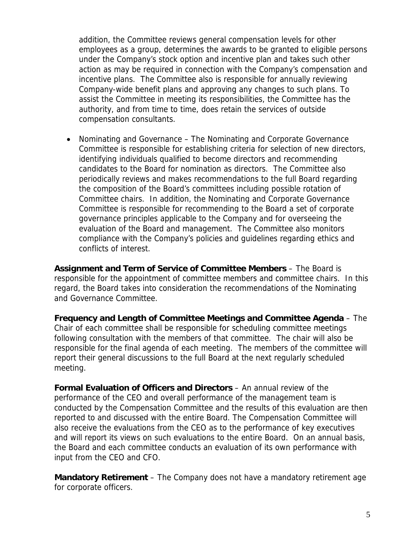addition, the Committee reviews general compensation levels for other employees as a group, determines the awards to be granted to eligible persons under the Company's stock option and incentive plan and takes such other action as may be required in connection with the Company's compensation and incentive plans. The Committee also is responsible for annually reviewing Company-wide benefit plans and approving any changes to such plans. To assist the Committee in meeting its responsibilities, the Committee has the authority, and from time to time, does retain the services of outside compensation consultants.

• Nominating and Governance – The Nominating and Corporate Governance Committee is responsible for establishing criteria for selection of new directors, identifying individuals qualified to become directors and recommending candidates to the Board for nomination as directors. The Committee also periodically reviews and makes recommendations to the full Board regarding the composition of the Board's committees including possible rotation of Committee chairs. In addition, the Nominating and Corporate Governance Committee is responsible for recommending to the Board a set of corporate governance principles applicable to the Company and for overseeing the evaluation of the Board and management. The Committee also monitors compliance with the Company's policies and guidelines regarding ethics and conflicts of interest.

**Assignment and Term of Service of Committee Members** – The Board is responsible for the appointment of committee members and committee chairs. In this regard, the Board takes into consideration the recommendations of the Nominating and Governance Committee.

**Frequency and Length of Committee Meetings and Committee Agenda** – The Chair of each committee shall be responsible for scheduling committee meetings following consultation with the members of that committee. The chair will also be responsible for the final agenda of each meeting. The members of the committee will report their general discussions to the full Board at the next regularly scheduled meeting.

**Formal Evaluation of Officers and Directors** – An annual review of the performance of the CEO and overall performance of the management team is conducted by the Compensation Committee and the results of this evaluation are then reported to and discussed with the entire Board. The Compensation Committee will also receive the evaluations from the CEO as to the performance of key executives and will report its views on such evaluations to the entire Board. On an annual basis, the Board and each committee conducts an evaluation of its own performance with input from the CEO and CFO.

**Mandatory Retirement** – The Company does not have a mandatory retirement age for corporate officers.